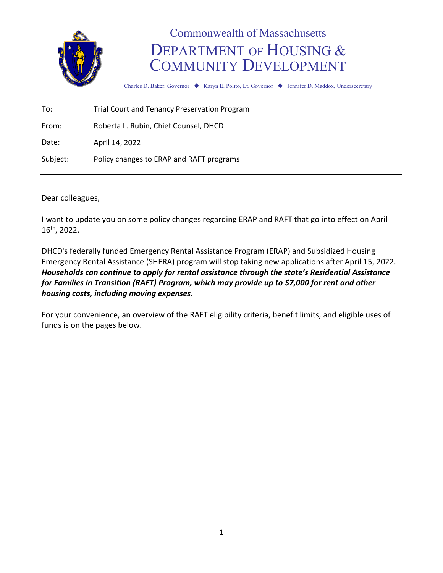

## Commonwealth of Massachusetts DEPARTMENT OF HOUSING & COMMUNITY DEVELOPMENT

Charles D. Baker, Governor ♦ Karyn E. Polito, Lt. Governor ♦ Jennifer D. Maddox, Undersecretary

To: Trial Court and Tenancy Preservation Program

From: Roberta L. Rubin, Chief Counsel, DHCD

Date: April 14, 2022

Subject: Policy changes to ERAP and RAFT programs

Dear colleagues,

I want to update you on some policy changes regarding ERAP and RAFT that go into effect on April 16th, 2022.

DHCD's federally funded Emergency Rental Assistance Program (ERAP) and Subsidized Housing Emergency Rental Assistance (SHERA) program will stop taking new applications after April 15, 2022. *Households can continue to apply for rental assistance through the state's Residential Assistance for Families in Transition (RAFT) Program, which may provide up to \$7,000 for rent and other housing costs, including moving expenses.*

For your convenience, an overview of the RAFT eligibility criteria, benefit limits, and eligible uses of funds is on the pages below.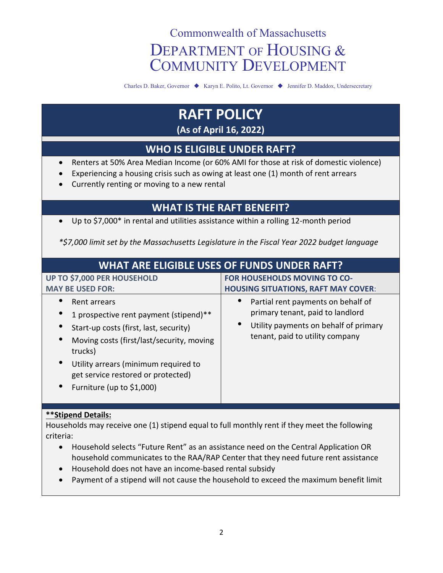# Commonwealth of Massachusetts DEPARTMENT OF HOUSING & COMMUNITY DEVELOPMENT

Charles D. Baker, Governor ♦ Karyn E. Polito, Lt. Governor ♦ Jennifer D. Maddox, Undersecretary

## **RAFT POLICY (As of April 16, 2022)**

### **WHO IS ELIGIBLE UNDER RAFT?**

- Renters at 50% Area Median Income (or 60% AMI for those at risk of domestic violence)
- Experiencing a housing crisis such as owing at least one (1) month of rent arrears
- Currently renting or moving to a new rental

### **WHAT IS THE RAFT BENEFIT?**

• Up to \$7,000\* in rental and utilities assistance within a rolling 12-month period

*\*\$7,000 limit set by the Massachusetts Legislature in the Fiscal Year 2022 budget language*

| <b>WHAT ARE ELIGIBLE USES OF FUNDS UNDER RAFT?</b>                                                                                                                                                                                                                  |                                                                                                                                                    |
|---------------------------------------------------------------------------------------------------------------------------------------------------------------------------------------------------------------------------------------------------------------------|----------------------------------------------------------------------------------------------------------------------------------------------------|
| UP TO \$7,000 PER HOUSEHOLD<br><b>MAY BE USED FOR:</b>                                                                                                                                                                                                              | FOR HOUSEHOLDS MOVING TO CO-<br><b>HOUSING SITUATIONS, RAFT MAY COVER:</b>                                                                         |
| Rent arrears<br>1 prospective rent payment (stipend)**<br>Start-up costs (first, last, security)<br>Moving costs (first/last/security, moving<br>trucks)<br>Utility arrears (minimum required to<br>get service restored or protected)<br>Furniture (up to \$1,000) | Partial rent payments on behalf of<br>primary tenant, paid to landlord<br>Utility payments on behalf of primary<br>tenant, paid to utility company |
| **Stipend Details:<br>Households may receive one (1) stipend equal to full monthly rent if they meet the following<br>criteria:                                                                                                                                     |                                                                                                                                                    |

- Household selects "Future Rent" as an assistance need on the Central Application OR household communicates to the RAA/RAP Center that they need future rent assistance
- Household does not have an income-based rental subsidy
- Payment of a stipend will not cause the household to exceed the maximum benefit limit